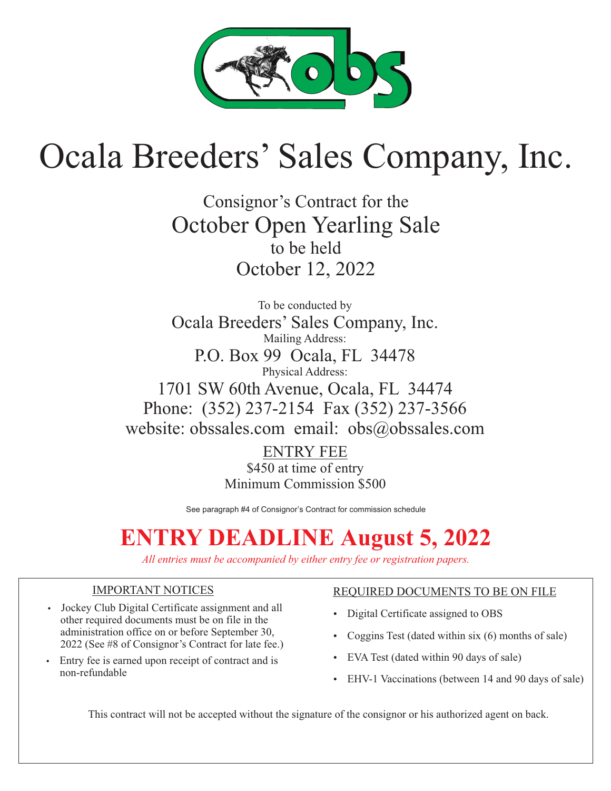

# Ocala Breeders' Sales Company, Inc.

Consignor's Contract for the October Open Yearling Sale to be held October 12, 2022

To be conducted by Ocala Breeders' Sales Company, Inc. Mailing Address: P.O. Box 99 Ocala, FL 34478 Physical Address: 1701 SW 60th Avenue, Ocala, FL 34474 Phone: (352) 237-2154 Fax (352) 237-3566 website: obssales.com email: obs@obssales.com

> ENTRY FEE \$450 at time of entry Minimum Commission \$500

See paragraph #4 of Consignor's Contract for commission schedule

All entries must be accompanied by either entry fee or registration papers.

### IMPORTANT NOTICES

- Jockey Club Digital Certificate assignment and all other required documents must be on file in the administration office on or before September 30, 2022 (See #8 of Consignor's Contract for late fee.)
- Entry fee is earned upon receipt of contract and is non-refundable

### REQUIRED DOCUMENTS TO BE ON FILE

- Digital Certificate assigned to OBS
- Coggins Test (dated within six (6) months of sale)
- EVA Test (dated within 90 days of sale)
- EHV-1 Vaccinations (between 14 and 90 days of sale)

This contract will not be accepted without the signature of the consignor or his authorized agent on back.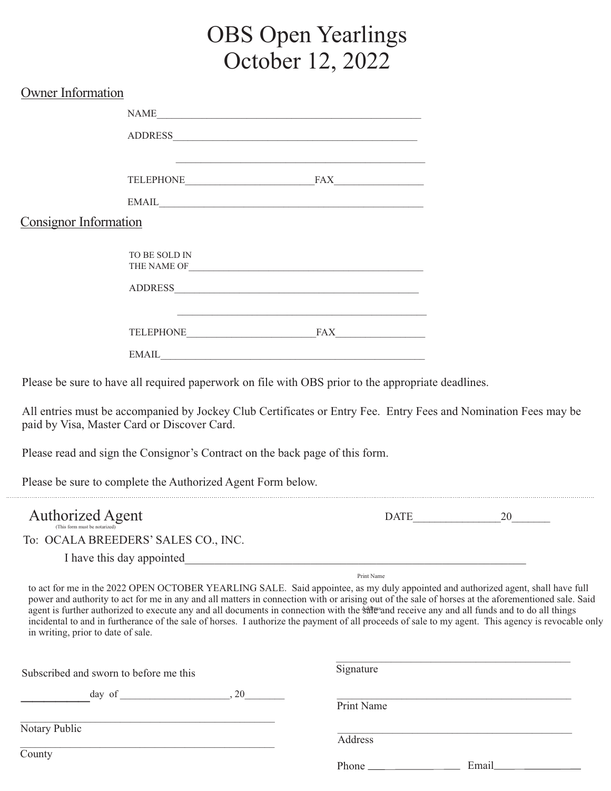## OBS Open Yearlings October 12, 2022

| NAME<br>ADDRESS<br>EMAIL <b>EXAMPLE 2008</b><br><b>Consignor Information</b><br>TO BE SOLD IN<br>$EMAIL$<br>Please be sure to have all required paperwork on file with OBS prior to the appropriate deadlines.<br>All entries must be accompanied by Jockey Club Certificates or Entry Fee. Entry Fees and Nomination Fees may be<br>paid by Visa, Master Card or Discover Card.<br>Please read and sign the Consignor's Contract on the back page of this form.<br>Please be sure to complete the Authorized Agent Form below.<br><b>Authorized Agent</b><br>DATE PARTIES<br>(This form must be notarized)<br>To: OCALA BREEDERS' SALES CO., INC.<br>Print Name<br>to act for me in the 2022 OPEN OCTOBER YEARLING SALE. Said appointee, as my duly appointed and authorized agent, shall have full<br>power and authority to act for me in any and all matters in connection with or arising out of the sale of horses at the aforementioned sale. Said<br>agent is further authorized to execute any and all documents in connection with the states and receive any and all funds and to do all things<br>incidental to and in furtherance of the sale of horses. I authorize the payment of all proceeds of sale to my agent. This agency is revocable only<br>in writing, prior to date of sale.<br>Signature<br>Subscribed and sworn to before me this<br>Print Name | <b>Owner Information</b> |  |  |
|-----------------------------------------------------------------------------------------------------------------------------------------------------------------------------------------------------------------------------------------------------------------------------------------------------------------------------------------------------------------------------------------------------------------------------------------------------------------------------------------------------------------------------------------------------------------------------------------------------------------------------------------------------------------------------------------------------------------------------------------------------------------------------------------------------------------------------------------------------------------------------------------------------------------------------------------------------------------------------------------------------------------------------------------------------------------------------------------------------------------------------------------------------------------------------------------------------------------------------------------------------------------------------------------------------------------------------------------------------------------------------|--------------------------|--|--|
|                                                                                                                                                                                                                                                                                                                                                                                                                                                                                                                                                                                                                                                                                                                                                                                                                                                                                                                                                                                                                                                                                                                                                                                                                                                                                                                                                                             |                          |  |  |
|                                                                                                                                                                                                                                                                                                                                                                                                                                                                                                                                                                                                                                                                                                                                                                                                                                                                                                                                                                                                                                                                                                                                                                                                                                                                                                                                                                             |                          |  |  |
|                                                                                                                                                                                                                                                                                                                                                                                                                                                                                                                                                                                                                                                                                                                                                                                                                                                                                                                                                                                                                                                                                                                                                                                                                                                                                                                                                                             |                          |  |  |
|                                                                                                                                                                                                                                                                                                                                                                                                                                                                                                                                                                                                                                                                                                                                                                                                                                                                                                                                                                                                                                                                                                                                                                                                                                                                                                                                                                             |                          |  |  |
|                                                                                                                                                                                                                                                                                                                                                                                                                                                                                                                                                                                                                                                                                                                                                                                                                                                                                                                                                                                                                                                                                                                                                                                                                                                                                                                                                                             |                          |  |  |
|                                                                                                                                                                                                                                                                                                                                                                                                                                                                                                                                                                                                                                                                                                                                                                                                                                                                                                                                                                                                                                                                                                                                                                                                                                                                                                                                                                             |                          |  |  |
|                                                                                                                                                                                                                                                                                                                                                                                                                                                                                                                                                                                                                                                                                                                                                                                                                                                                                                                                                                                                                                                                                                                                                                                                                                                                                                                                                                             |                          |  |  |
|                                                                                                                                                                                                                                                                                                                                                                                                                                                                                                                                                                                                                                                                                                                                                                                                                                                                                                                                                                                                                                                                                                                                                                                                                                                                                                                                                                             |                          |  |  |
|                                                                                                                                                                                                                                                                                                                                                                                                                                                                                                                                                                                                                                                                                                                                                                                                                                                                                                                                                                                                                                                                                                                                                                                                                                                                                                                                                                             |                          |  |  |
|                                                                                                                                                                                                                                                                                                                                                                                                                                                                                                                                                                                                                                                                                                                                                                                                                                                                                                                                                                                                                                                                                                                                                                                                                                                                                                                                                                             |                          |  |  |
|                                                                                                                                                                                                                                                                                                                                                                                                                                                                                                                                                                                                                                                                                                                                                                                                                                                                                                                                                                                                                                                                                                                                                                                                                                                                                                                                                                             |                          |  |  |
|                                                                                                                                                                                                                                                                                                                                                                                                                                                                                                                                                                                                                                                                                                                                                                                                                                                                                                                                                                                                                                                                                                                                                                                                                                                                                                                                                                             |                          |  |  |
|                                                                                                                                                                                                                                                                                                                                                                                                                                                                                                                                                                                                                                                                                                                                                                                                                                                                                                                                                                                                                                                                                                                                                                                                                                                                                                                                                                             |                          |  |  |
|                                                                                                                                                                                                                                                                                                                                                                                                                                                                                                                                                                                                                                                                                                                                                                                                                                                                                                                                                                                                                                                                                                                                                                                                                                                                                                                                                                             |                          |  |  |
|                                                                                                                                                                                                                                                                                                                                                                                                                                                                                                                                                                                                                                                                                                                                                                                                                                                                                                                                                                                                                                                                                                                                                                                                                                                                                                                                                                             |                          |  |  |
|                                                                                                                                                                                                                                                                                                                                                                                                                                                                                                                                                                                                                                                                                                                                                                                                                                                                                                                                                                                                                                                                                                                                                                                                                                                                                                                                                                             |                          |  |  |
|                                                                                                                                                                                                                                                                                                                                                                                                                                                                                                                                                                                                                                                                                                                                                                                                                                                                                                                                                                                                                                                                                                                                                                                                                                                                                                                                                                             |                          |  |  |

**County** 

\_\_\_\_\_\_\_\_\_\_\_\_\_\_\_\_\_\_\_\_\_\_\_\_\_\_\_\_\_\_\_\_\_\_\_\_\_\_\_\_\_\_\_\_\_\_\_\_\_\_\_

Phone Email

Address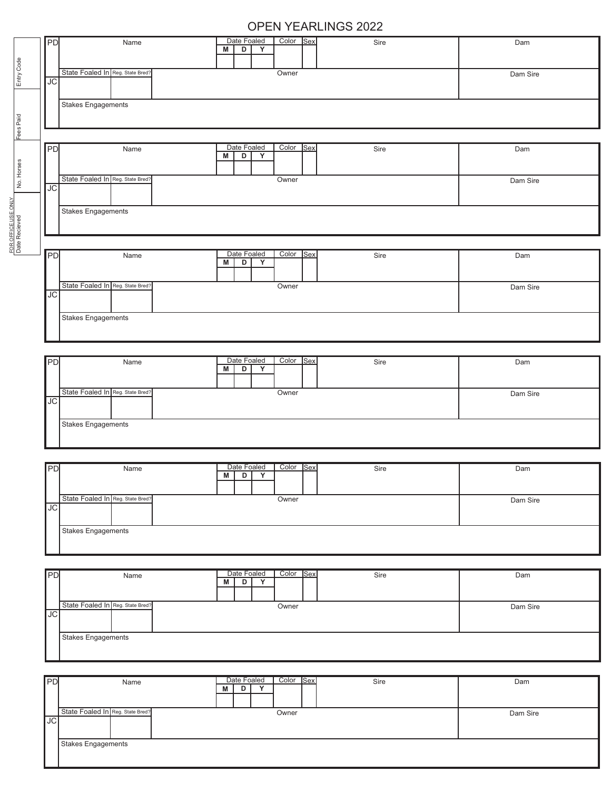### OPEN YEARLINGS 2022

| PD                        | Name                             | Date Foaled<br>Color Sex<br>$\overline{D}$<br>Y<br>M | Sire | Dam      |
|---------------------------|----------------------------------|------------------------------------------------------|------|----------|
|                           |                                  |                                                      |      |          |
| $\overline{JC}$           | State Foaled In Reg. State Bred? | Owner                                                |      | Dam Sire |
| <b>Stakes Engagements</b> |                                  |                                                      |      |          |
|                           |                                  |                                                      |      |          |
|                           |                                  | Date Foaled<br>Color Sex                             |      | Dam      |
| PD                        | Name                             | Υ<br>M<br>D                                          | Sire |          |
| $\overline{JC}$           | State Foaled In Reg. State Bred? | Owner                                                |      | Dam Sire |
| Stakes Engagements        |                                  |                                                      |      |          |
|                           |                                  |                                                      |      |          |
| PD                        | Name                             | Date Foaled<br>Color Sex<br>$\overline{D}$<br>M<br>Y | Sire | Dam      |
| $\overline{JC}$           | State Foaled In Reg. State Bred? | Owner                                                |      | Dam Sire |
| <b>Stakes Engagements</b> |                                  |                                                      |      |          |
|                           |                                  |                                                      |      |          |
| PD                        | Name                             | Date Foaled<br>Color Sex<br>D<br>Y<br>M              | Sire | Dam      |
| $J\overline{C}$           | State Foaled In Reg. State Bred? | Owner                                                |      | Dam Sire |
| <b>Stakes Engagements</b> |                                  |                                                      |      |          |
|                           |                                  |                                                      |      |          |
| PD                        | Name                             | Date Foaled<br>Color Sex<br>Y<br>D<br>M              | Sire | Dam      |
| JС                        | State Foaled In Reg. State Bred? | Owner                                                |      | Dam Sire |
| <b>Stakes Engagements</b> |                                  |                                                      |      |          |
|                           |                                  |                                                      |      |          |
| PD                        | Name                             | Date Foaled<br>Color Sex<br>$\overline{D}$<br>Y<br>M | Sire | Dam      |
| $\overline{\text{JC}}$    | State Foaled In Reg. State Bred? | Owner                                                |      | Dam Sire |
| <b>Stakes Engagements</b> |                                  |                                                      |      |          |
|                           |                                  |                                                      |      |          |
| PD                        | Name                             | Date Foaled<br>Color Sex<br>D<br>M<br>Y              | Sire | Dam      |
|                           | State Foaled In Reg. State Bred? | Owner                                                |      | Dam Sire |

Stakes Engagements

 $\mathbf{I}$